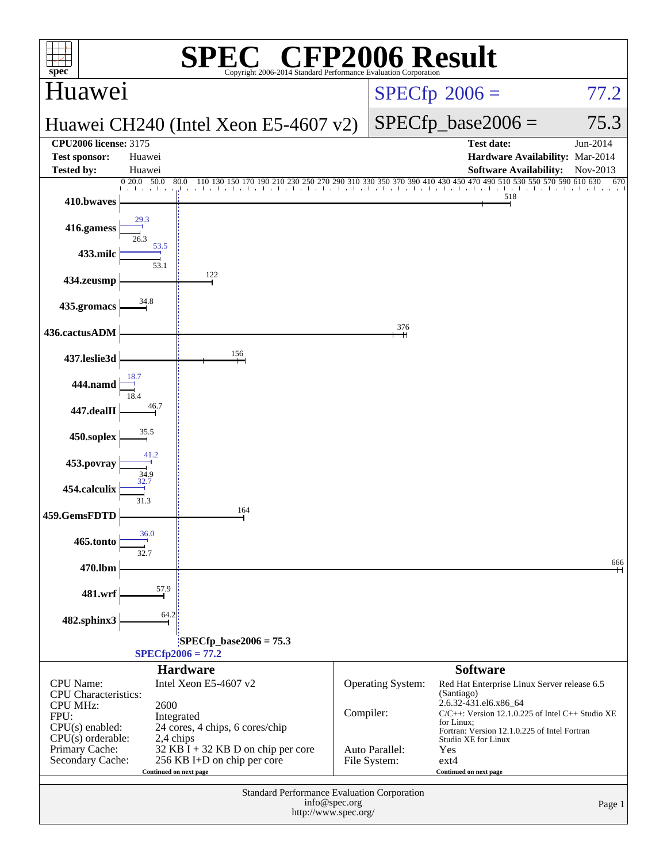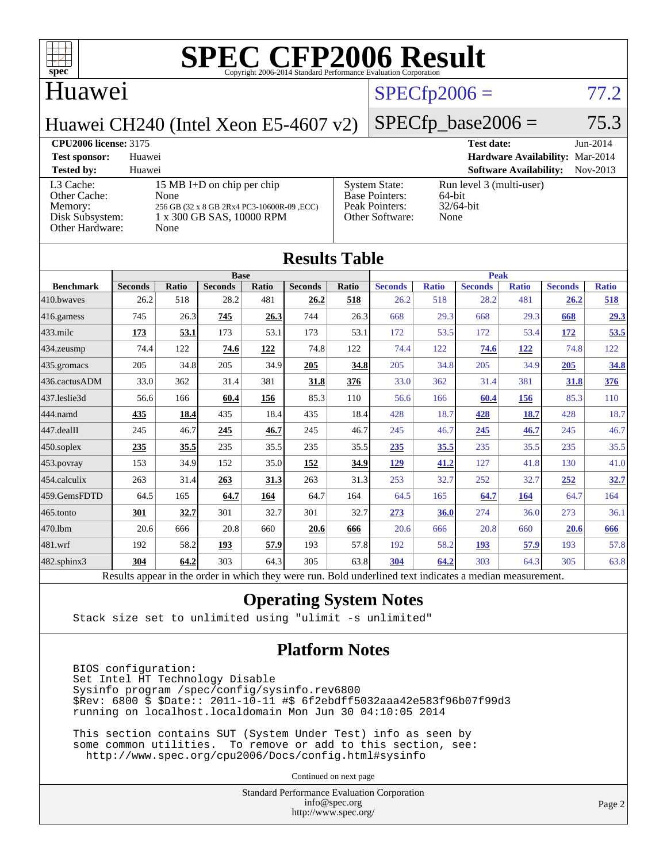

#### Huawei

## $SPECTp2006 = 77.2$

 $SPECfp\_base2006 = 75.3$ 

Huawei CH240 (Intel Xeon E5-4607 v2)

| <b>CPU2006 license: 3175</b>                                                      |                                                                                                                       | <b>Test date:</b>                                                                  | $Jun-2014$                                                 |          |
|-----------------------------------------------------------------------------------|-----------------------------------------------------------------------------------------------------------------------|------------------------------------------------------------------------------------|------------------------------------------------------------|----------|
| <b>Test sponsor:</b>                                                              | Huawei                                                                                                                |                                                                                    | Hardware Availability: Mar-2014                            |          |
| <b>Tested by:</b>                                                                 | Huawei                                                                                                                |                                                                                    | <b>Software Availability:</b>                              | Nov-2013 |
| L3 Cache:<br>Other Cache:<br>Memory:<br>Disk Subsystem:<br><b>Other Hardware:</b> | 15 MB I+D on chip per chip<br>None<br>256 GB (32 x 8 GB 2Rx4 PC3-10600R-09, ECC)<br>1 x 300 GB SAS, 10000 RPM<br>None | <b>System State:</b><br><b>Base Pointers:</b><br>Peak Pointers:<br>Other Software: | Run level 3 (multi-user)<br>64-bit<br>$32/64$ -bit<br>None |          |

| <b>Results Table</b> |                                                                                                          |              |                |       |                |       |                |              |                |              |                |              |
|----------------------|----------------------------------------------------------------------------------------------------------|--------------|----------------|-------|----------------|-------|----------------|--------------|----------------|--------------|----------------|--------------|
|                      | <b>Base</b>                                                                                              |              |                |       | <b>Peak</b>    |       |                |              |                |              |                |              |
| <b>Benchmark</b>     | <b>Seconds</b>                                                                                           | <b>Ratio</b> | <b>Seconds</b> | Ratio | <b>Seconds</b> | Ratio | <b>Seconds</b> | <b>Ratio</b> | <b>Seconds</b> | <b>Ratio</b> | <b>Seconds</b> | <b>Ratio</b> |
| 410.bwayes           | 26.2                                                                                                     | 518          | 28.2           | 481   | 26.2           | 518   | 26.2           | 518          | 28.2           | 481          | 26.2           | 518          |
| 416.gamess           | 745                                                                                                      | 26.3         | 745            | 26.3  | 744            | 26.3  | 668            | 29.3         | 668            | 29.3         | 668            | 29.3         |
| $433$ .milc          | 173                                                                                                      | 53.1         | 173            | 53.1  | 173            | 53.1  | 172            | 53.5         | 172            | 53.4         | 172            | 53.5         |
| 434.zeusmp           | 74.4                                                                                                     | 122          | 74.6           | 122   | 74.8           | 122   | 74.4           | 122          | 74.6           | 122          | 74.8           | 122          |
| 435.gromacs          | 205                                                                                                      | 34.8         | 205            | 34.9  | 205            | 34.8  | 205            | 34.8         | 205            | 34.9         | 205            | 34.8         |
| 436.cactusADM        | 33.0                                                                                                     | 362          | 31.4           | 381   | 31.8           | 376   | 33.0           | 362          | 31.4           | 381          | 31.8           | 376          |
| 437.leslie3d         | 56.6                                                                                                     | 166          | 60.4           | 156   | 85.3           | 110   | 56.6           | 166          | 60.4           | 156          | 85.3           | 110          |
| 444.namd             | 435                                                                                                      | 18.4         | 435            | 18.4  | 435            | 18.4  | 428            | 18.7         | 428            | 18.7         | 428            | 18.7         |
| 447.dealII           | 245                                                                                                      | 46.7         | 245            | 46.7  | 245            | 46.7  | 245            | 46.7         | 245            | 46.7         | 245            | 46.7         |
| 450.soplex           | 235                                                                                                      | 35.5         | 235            | 35.5  | 235            | 35.5  | 235            | 35.5         | 235            | 35.5         | 235            | 35.5         |
| 453.povray           | 153                                                                                                      | 34.9         | 152            | 35.0  | <u>152</u>     | 34.9  | 129            | 41.2         | 127            | 41.8         | 130            | 41.0         |
| 454.calculix         | 263                                                                                                      | 31.4         | 263            | 31.3  | 263            | 31.3  | 253            | 32.7         | 252            | 32.7         | 252            | 32.7         |
| 459.GemsFDTD         | 64.5                                                                                                     | 165          | 64.7           | 164   | 64.7           | 164   | 64.5           | 165          | 64.7           | 164          | 64.7           | 164          |
| 465.tonto            | 301                                                                                                      | 32.7         | 301            | 32.7  | 301            | 32.7  | 273            | 36.0         | 274            | 36.0         | 273            | 36.1         |
| 470.1bm              | 20.6                                                                                                     | 666          | 20.8           | 660   | 20.6           | 666   | 20.6           | 666          | 20.8           | 660          | 20.6           | 666          |
| 481.wrf              | 192                                                                                                      | 58.2         | 193            | 57.9  | 193            | 57.8  | 192            | 58.2         | <b>193</b>     | 57.9         | 193            | 57.8         |
| 482.sphinx3          | 304                                                                                                      | 64.2         | 303            | 64.3  | 305            | 63.8  | 304            | 64.2         | 303            | 64.3         | 305            | 63.8         |
|                      | Results appear in the order in which they were run. Bold underlined text indicates a median measurement. |              |                |       |                |       |                |              |                |              |                |              |

#### **[Operating System Notes](http://www.spec.org/auto/cpu2006/Docs/result-fields.html#OperatingSystemNotes)**

Stack size set to unlimited using "ulimit -s unlimited"

#### **[Platform Notes](http://www.spec.org/auto/cpu2006/Docs/result-fields.html#PlatformNotes)**

 BIOS configuration: Set Intel HT Technology Disable Sysinfo program /spec/config/sysinfo.rev6800 \$Rev: 6800 \$ \$Date:: 2011-10-11 #\$ 6f2ebdff5032aaa42e583f96b07f99d3 running on localhost.localdomain Mon Jun 30 04:10:05 2014

 This section contains SUT (System Under Test) info as seen by some common utilities. To remove or add to this section, see: <http://www.spec.org/cpu2006/Docs/config.html#sysinfo>

Continued on next page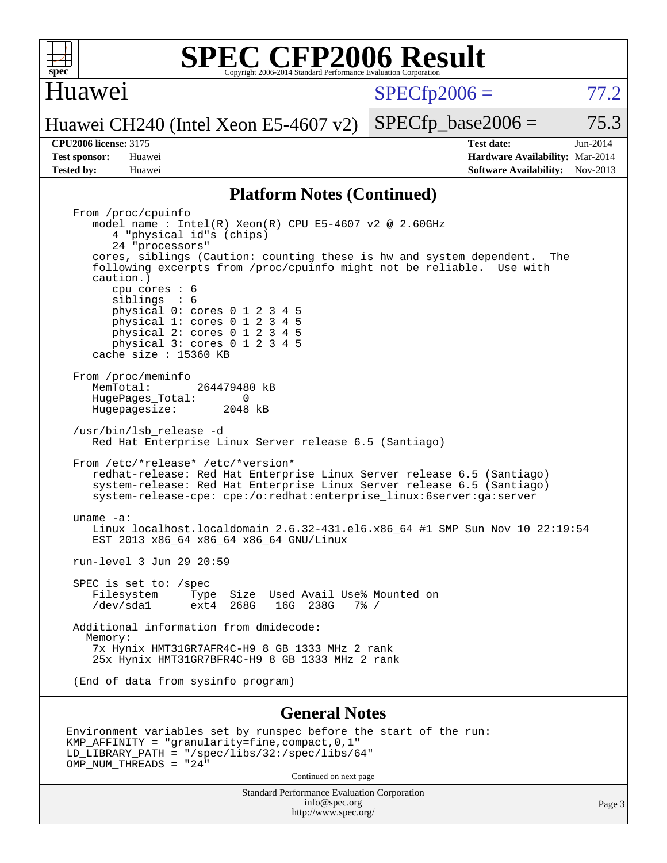

Huawei

 $SPECTp2006 = 77.2$ 

Huawei CH240 (Intel Xeon E5-4607 v2)  $SPECTp\_base2006 = 75.3$ 

**[Tested by:](http://www.spec.org/auto/cpu2006/Docs/result-fields.html#Testedby)** Huawei **[Software Availability:](http://www.spec.org/auto/cpu2006/Docs/result-fields.html#SoftwareAvailability)** Nov-2013

OMP\_NUM\_THREADS = "24"

**[CPU2006 license:](http://www.spec.org/auto/cpu2006/Docs/result-fields.html#CPU2006license)** 3175 **[Test date:](http://www.spec.org/auto/cpu2006/Docs/result-fields.html#Testdate)** Jun-2014 **[Test sponsor:](http://www.spec.org/auto/cpu2006/Docs/result-fields.html#Testsponsor)** Huawei **[Hardware Availability:](http://www.spec.org/auto/cpu2006/Docs/result-fields.html#HardwareAvailability)** Mar-2014

#### **[Platform Notes \(Continued\)](http://www.spec.org/auto/cpu2006/Docs/result-fields.html#PlatformNotes)**

 From /proc/cpuinfo model name:  $Intel(R)$  Xeon $(R)$  CPU E5-4607 v2 @ 2.60GHz 4 "physical id"s (chips) 24 "processors" cores, siblings (Caution: counting these is hw and system dependent. The following excerpts from /proc/cpuinfo might not be reliable. Use with caution.) cpu cores : 6 siblings : 6 physical 0: cores 0 1 2 3 4 5 physical 1: cores 0 1 2 3 4 5 physical 2: cores 0 1 2 3 4 5 physical 3: cores 0 1 2 3 4 5 cache size : 15360 KB From /proc/meminfo<br>MemTotal: 264479480 kB HugePages\_Total: 0<br>Hugepagesize: 2048 kB Hugepagesize: /usr/bin/lsb\_release -d Red Hat Enterprise Linux Server release 6.5 (Santiago) From /etc/\*release\* /etc/\*version\* redhat-release: Red Hat Enterprise Linux Server release 6.5 (Santiago) system-release: Red Hat Enterprise Linux Server release 6.5 (Santiago) system-release-cpe: cpe:/o:redhat:enterprise\_linux:6server:ga:server uname -a: Linux localhost.localdomain 2.6.32-431.el6.x86\_64 #1 SMP Sun Nov 10 22:19:54 EST 2013 x86\_64 x86\_64 x86\_64 GNU/Linux run-level 3 Jun 29 20:59 SPEC is set to: /spec Filesystem Type Size Used Avail Use% Mounted on<br>
/dev/sdal ext4 268G 16G 238G 7% / /dev/sda1 ext4 268G 16G 238G 7% / Additional information from dmidecode: Memory: 7x Hynix HMT31GR7AFR4C-H9 8 GB 1333 MHz 2 rank 25x Hynix HMT31GR7BFR4C-H9 8 GB 1333 MHz 2 rank (End of data from sysinfo program) **[General Notes](http://www.spec.org/auto/cpu2006/Docs/result-fields.html#GeneralNotes)**

#### Environment variables set by runspec before the start of the run: KMP\_AFFINITY = "granularity=fine,compact,0,1" LD\_LIBRARY\_PATH = "/spec/libs/32:/spec/libs/64"

Continued on next page

Standard Performance Evaluation Corporation [info@spec.org](mailto:info@spec.org) <http://www.spec.org/>

Page 3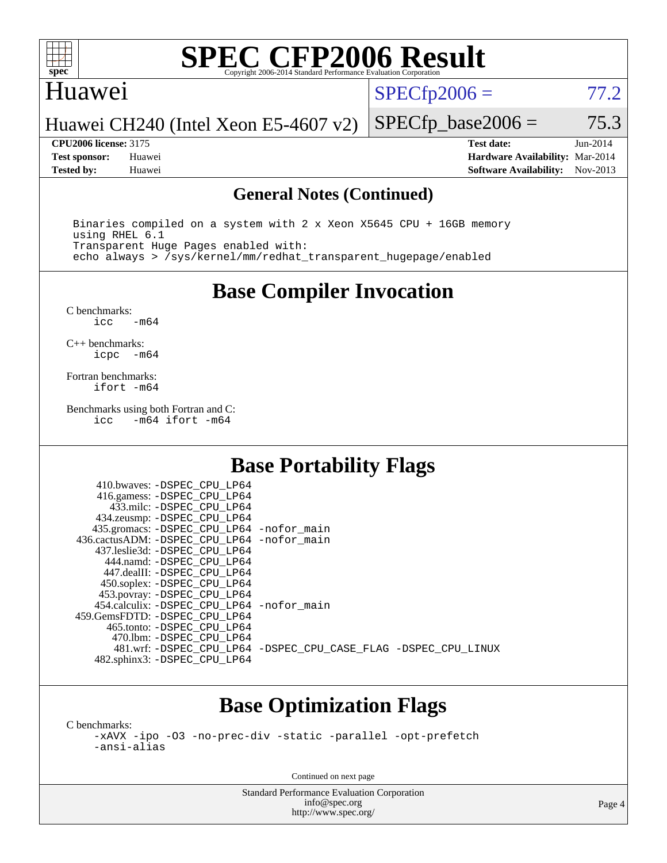

#### Huawei

 $SPECTp2006 = 77.2$ 

Huawei CH240 (Intel Xeon E5-4607 v2)

**[CPU2006 license:](http://www.spec.org/auto/cpu2006/Docs/result-fields.html#CPU2006license)** 3175 **[Test date:](http://www.spec.org/auto/cpu2006/Docs/result-fields.html#Testdate)** Jun-2014 **[Test sponsor:](http://www.spec.org/auto/cpu2006/Docs/result-fields.html#Testsponsor)** Huawei **[Hardware Availability:](http://www.spec.org/auto/cpu2006/Docs/result-fields.html#HardwareAvailability)** Mar-2014 **[Tested by:](http://www.spec.org/auto/cpu2006/Docs/result-fields.html#Testedby)** Huawei **[Software Availability:](http://www.spec.org/auto/cpu2006/Docs/result-fields.html#SoftwareAvailability)** Nov-2013

 $SPECTp\_base2006 = 75.3$ 

#### **[General Notes \(Continued\)](http://www.spec.org/auto/cpu2006/Docs/result-fields.html#GeneralNotes)**

 Binaries compiled on a system with 2 x Xeon X5645 CPU + 16GB memory using RHEL 6.1 Transparent Huge Pages enabled with: echo always > /sys/kernel/mm/redhat\_transparent\_hugepage/enabled

**[Base Compiler Invocation](http://www.spec.org/auto/cpu2006/Docs/result-fields.html#BaseCompilerInvocation)**

[C benchmarks](http://www.spec.org/auto/cpu2006/Docs/result-fields.html#Cbenchmarks):  $-m64$ 

[C++ benchmarks:](http://www.spec.org/auto/cpu2006/Docs/result-fields.html#CXXbenchmarks) [icpc -m64](http://www.spec.org/cpu2006/results/res2014q3/cpu2006-20140701-30275.flags.html#user_CXXbase_intel_icpc_64bit_bedb90c1146cab66620883ef4f41a67e)

[Fortran benchmarks](http://www.spec.org/auto/cpu2006/Docs/result-fields.html#Fortranbenchmarks): [ifort -m64](http://www.spec.org/cpu2006/results/res2014q3/cpu2006-20140701-30275.flags.html#user_FCbase_intel_ifort_64bit_ee9d0fb25645d0210d97eb0527dcc06e)

[Benchmarks using both Fortran and C](http://www.spec.org/auto/cpu2006/Docs/result-fields.html#BenchmarksusingbothFortranandC): [icc -m64](http://www.spec.org/cpu2006/results/res2014q3/cpu2006-20140701-30275.flags.html#user_CC_FCbase_intel_icc_64bit_0b7121f5ab7cfabee23d88897260401c) [ifort -m64](http://www.spec.org/cpu2006/results/res2014q3/cpu2006-20140701-30275.flags.html#user_CC_FCbase_intel_ifort_64bit_ee9d0fb25645d0210d97eb0527dcc06e)

#### **[Base Portability Flags](http://www.spec.org/auto/cpu2006/Docs/result-fields.html#BasePortabilityFlags)**

| 410.bwaves: -DSPEC CPU LP64                  |                                                                |
|----------------------------------------------|----------------------------------------------------------------|
| 416.gamess: -DSPEC_CPU_LP64                  |                                                                |
| 433.milc: -DSPEC CPU LP64                    |                                                                |
| 434.zeusmp: - DSPEC_CPU_LP64                 |                                                                |
| 435.gromacs: -DSPEC_CPU_LP64 -nofor_main     |                                                                |
| 436.cactusADM: - DSPEC CPU LP64 - nofor main |                                                                |
| 437.leslie3d: -DSPEC CPU LP64                |                                                                |
| 444.namd: -DSPEC CPU LP64                    |                                                                |
| 447.dealII: -DSPEC_CPU LP64                  |                                                                |
| 450.soplex: -DSPEC_CPU_LP64                  |                                                                |
| 453.povray: -DSPEC_CPU_LP64                  |                                                                |
| 454.calculix: - DSPEC CPU LP64 - nofor main  |                                                                |
| 459.GemsFDTD: - DSPEC_CPU LP64               |                                                                |
| 465.tonto: - DSPEC CPU LP64                  |                                                                |
| 470.1bm: - DSPEC CPU LP64                    |                                                                |
|                                              | 481.wrf: -DSPEC CPU_LP64 -DSPEC_CPU_CASE_FLAG -DSPEC_CPU_LINUX |
| 482.sphinx3: -DSPEC_CPU_LP64                 |                                                                |
|                                              |                                                                |

## **[Base Optimization Flags](http://www.spec.org/auto/cpu2006/Docs/result-fields.html#BaseOptimizationFlags)**

[C benchmarks](http://www.spec.org/auto/cpu2006/Docs/result-fields.html#Cbenchmarks):

[-xAVX](http://www.spec.org/cpu2006/results/res2014q3/cpu2006-20140701-30275.flags.html#user_CCbase_f-xAVX) [-ipo](http://www.spec.org/cpu2006/results/res2014q3/cpu2006-20140701-30275.flags.html#user_CCbase_f-ipo) [-O3](http://www.spec.org/cpu2006/results/res2014q3/cpu2006-20140701-30275.flags.html#user_CCbase_f-O3) [-no-prec-div](http://www.spec.org/cpu2006/results/res2014q3/cpu2006-20140701-30275.flags.html#user_CCbase_f-no-prec-div) [-static](http://www.spec.org/cpu2006/results/res2014q3/cpu2006-20140701-30275.flags.html#user_CCbase_f-static) [-parallel](http://www.spec.org/cpu2006/results/res2014q3/cpu2006-20140701-30275.flags.html#user_CCbase_f-parallel) [-opt-prefetch](http://www.spec.org/cpu2006/results/res2014q3/cpu2006-20140701-30275.flags.html#user_CCbase_f-opt-prefetch) [-ansi-alias](http://www.spec.org/cpu2006/results/res2014q3/cpu2006-20140701-30275.flags.html#user_CCbase_f-ansi-alias)

Continued on next page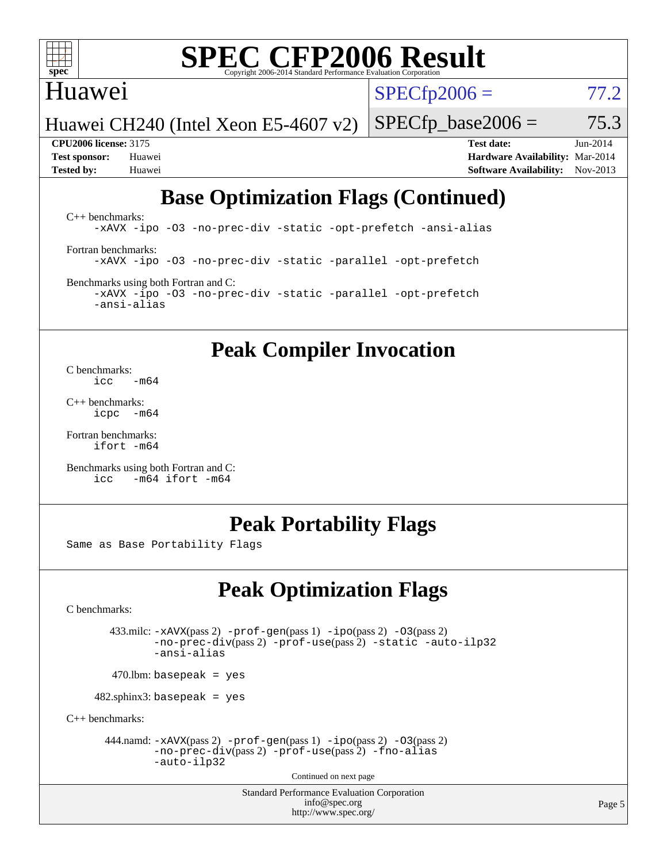

### Huawei

 $SPECTp2006 = 77.2$ 

Huawei CH240 (Intel Xeon E5-4607 v2)

 $SPECTp\_base2006 = 75.3$ 

**[CPU2006 license:](http://www.spec.org/auto/cpu2006/Docs/result-fields.html#CPU2006license)** 3175 **[Test date:](http://www.spec.org/auto/cpu2006/Docs/result-fields.html#Testdate)** Jun-2014 **[Test sponsor:](http://www.spec.org/auto/cpu2006/Docs/result-fields.html#Testsponsor)** Huawei **[Hardware Availability:](http://www.spec.org/auto/cpu2006/Docs/result-fields.html#HardwareAvailability)** Mar-2014 **[Tested by:](http://www.spec.org/auto/cpu2006/Docs/result-fields.html#Testedby)** Huawei **[Software Availability:](http://www.spec.org/auto/cpu2006/Docs/result-fields.html#SoftwareAvailability)** Nov-2013

## **[Base Optimization Flags \(Continued\)](http://www.spec.org/auto/cpu2006/Docs/result-fields.html#BaseOptimizationFlags)**

[C++ benchmarks:](http://www.spec.org/auto/cpu2006/Docs/result-fields.html#CXXbenchmarks) [-xAVX](http://www.spec.org/cpu2006/results/res2014q3/cpu2006-20140701-30275.flags.html#user_CXXbase_f-xAVX) [-ipo](http://www.spec.org/cpu2006/results/res2014q3/cpu2006-20140701-30275.flags.html#user_CXXbase_f-ipo) [-O3](http://www.spec.org/cpu2006/results/res2014q3/cpu2006-20140701-30275.flags.html#user_CXXbase_f-O3) [-no-prec-div](http://www.spec.org/cpu2006/results/res2014q3/cpu2006-20140701-30275.flags.html#user_CXXbase_f-no-prec-div) [-static](http://www.spec.org/cpu2006/results/res2014q3/cpu2006-20140701-30275.flags.html#user_CXXbase_f-static) [-opt-prefetch](http://www.spec.org/cpu2006/results/res2014q3/cpu2006-20140701-30275.flags.html#user_CXXbase_f-opt-prefetch) [-ansi-alias](http://www.spec.org/cpu2006/results/res2014q3/cpu2006-20140701-30275.flags.html#user_CXXbase_f-ansi-alias) [Fortran benchmarks](http://www.spec.org/auto/cpu2006/Docs/result-fields.html#Fortranbenchmarks): [-xAVX](http://www.spec.org/cpu2006/results/res2014q3/cpu2006-20140701-30275.flags.html#user_FCbase_f-xAVX) [-ipo](http://www.spec.org/cpu2006/results/res2014q3/cpu2006-20140701-30275.flags.html#user_FCbase_f-ipo) [-O3](http://www.spec.org/cpu2006/results/res2014q3/cpu2006-20140701-30275.flags.html#user_FCbase_f-O3) [-no-prec-div](http://www.spec.org/cpu2006/results/res2014q3/cpu2006-20140701-30275.flags.html#user_FCbase_f-no-prec-div) [-static](http://www.spec.org/cpu2006/results/res2014q3/cpu2006-20140701-30275.flags.html#user_FCbase_f-static) [-parallel](http://www.spec.org/cpu2006/results/res2014q3/cpu2006-20140701-30275.flags.html#user_FCbase_f-parallel) [-opt-prefetch](http://www.spec.org/cpu2006/results/res2014q3/cpu2006-20140701-30275.flags.html#user_FCbase_f-opt-prefetch) [Benchmarks using both Fortran and C](http://www.spec.org/auto/cpu2006/Docs/result-fields.html#BenchmarksusingbothFortranandC):

[-xAVX](http://www.spec.org/cpu2006/results/res2014q3/cpu2006-20140701-30275.flags.html#user_CC_FCbase_f-xAVX) [-ipo](http://www.spec.org/cpu2006/results/res2014q3/cpu2006-20140701-30275.flags.html#user_CC_FCbase_f-ipo) [-O3](http://www.spec.org/cpu2006/results/res2014q3/cpu2006-20140701-30275.flags.html#user_CC_FCbase_f-O3) [-no-prec-div](http://www.spec.org/cpu2006/results/res2014q3/cpu2006-20140701-30275.flags.html#user_CC_FCbase_f-no-prec-div) [-static](http://www.spec.org/cpu2006/results/res2014q3/cpu2006-20140701-30275.flags.html#user_CC_FCbase_f-static) [-parallel](http://www.spec.org/cpu2006/results/res2014q3/cpu2006-20140701-30275.flags.html#user_CC_FCbase_f-parallel) [-opt-prefetch](http://www.spec.org/cpu2006/results/res2014q3/cpu2006-20140701-30275.flags.html#user_CC_FCbase_f-opt-prefetch) [-ansi-alias](http://www.spec.org/cpu2006/results/res2014q3/cpu2006-20140701-30275.flags.html#user_CC_FCbase_f-ansi-alias)

### **[Peak Compiler Invocation](http://www.spec.org/auto/cpu2006/Docs/result-fields.html#PeakCompilerInvocation)**

[C benchmarks](http://www.spec.org/auto/cpu2006/Docs/result-fields.html#Cbenchmarks):  $\frac{1}{2}$ cc  $-\text{m64}$ 

[C++ benchmarks:](http://www.spec.org/auto/cpu2006/Docs/result-fields.html#CXXbenchmarks) [icpc -m64](http://www.spec.org/cpu2006/results/res2014q3/cpu2006-20140701-30275.flags.html#user_CXXpeak_intel_icpc_64bit_bedb90c1146cab66620883ef4f41a67e)

[Fortran benchmarks](http://www.spec.org/auto/cpu2006/Docs/result-fields.html#Fortranbenchmarks): [ifort -m64](http://www.spec.org/cpu2006/results/res2014q3/cpu2006-20140701-30275.flags.html#user_FCpeak_intel_ifort_64bit_ee9d0fb25645d0210d97eb0527dcc06e)

[Benchmarks using both Fortran and C](http://www.spec.org/auto/cpu2006/Docs/result-fields.html#BenchmarksusingbothFortranandC): [icc -m64](http://www.spec.org/cpu2006/results/res2014q3/cpu2006-20140701-30275.flags.html#user_CC_FCpeak_intel_icc_64bit_0b7121f5ab7cfabee23d88897260401c) [ifort -m64](http://www.spec.org/cpu2006/results/res2014q3/cpu2006-20140701-30275.flags.html#user_CC_FCpeak_intel_ifort_64bit_ee9d0fb25645d0210d97eb0527dcc06e)

#### **[Peak Portability Flags](http://www.spec.org/auto/cpu2006/Docs/result-fields.html#PeakPortabilityFlags)**

Same as Base Portability Flags

## **[Peak Optimization Flags](http://www.spec.org/auto/cpu2006/Docs/result-fields.html#PeakOptimizationFlags)**

[C benchmarks](http://www.spec.org/auto/cpu2006/Docs/result-fields.html#Cbenchmarks):

 433.milc: [-xAVX](http://www.spec.org/cpu2006/results/res2014q3/cpu2006-20140701-30275.flags.html#user_peakPASS2_CFLAGSPASS2_LDFLAGS433_milc_f-xAVX)(pass 2) [-prof-gen](http://www.spec.org/cpu2006/results/res2014q3/cpu2006-20140701-30275.flags.html#user_peakPASS1_CFLAGSPASS1_LDFLAGS433_milc_prof_gen_e43856698f6ca7b7e442dfd80e94a8fc)(pass 1) [-ipo](http://www.spec.org/cpu2006/results/res2014q3/cpu2006-20140701-30275.flags.html#user_peakPASS2_CFLAGSPASS2_LDFLAGS433_milc_f-ipo)(pass 2) [-O3](http://www.spec.org/cpu2006/results/res2014q3/cpu2006-20140701-30275.flags.html#user_peakPASS2_CFLAGSPASS2_LDFLAGS433_milc_f-O3)(pass 2) [-no-prec-div](http://www.spec.org/cpu2006/results/res2014q3/cpu2006-20140701-30275.flags.html#user_peakPASS2_CFLAGSPASS2_LDFLAGS433_milc_f-no-prec-div)(pass 2) [-prof-use](http://www.spec.org/cpu2006/results/res2014q3/cpu2006-20140701-30275.flags.html#user_peakPASS2_CFLAGSPASS2_LDFLAGS433_milc_prof_use_bccf7792157ff70d64e32fe3e1250b55)(pass 2) [-static](http://www.spec.org/cpu2006/results/res2014q3/cpu2006-20140701-30275.flags.html#user_peakOPTIMIZE433_milc_f-static) [-auto-ilp32](http://www.spec.org/cpu2006/results/res2014q3/cpu2006-20140701-30275.flags.html#user_peakCOPTIMIZE433_milc_f-auto-ilp32) [-ansi-alias](http://www.spec.org/cpu2006/results/res2014q3/cpu2006-20140701-30275.flags.html#user_peakCOPTIMIZE433_milc_f-ansi-alias)

 $470.$ lbm: basepeak = yes

482.sphinx3: basepeak = yes

[C++ benchmarks:](http://www.spec.org/auto/cpu2006/Docs/result-fields.html#CXXbenchmarks)

444.namd:  $-xAVX(pass 2)$  $-xAVX(pass 2)$  [-prof-gen](http://www.spec.org/cpu2006/results/res2014q3/cpu2006-20140701-30275.flags.html#user_peakPASS1_CXXFLAGSPASS1_LDFLAGS444_namd_prof_gen_e43856698f6ca7b7e442dfd80e94a8fc)(pass 1) [-ipo](http://www.spec.org/cpu2006/results/res2014q3/cpu2006-20140701-30275.flags.html#user_peakPASS2_CXXFLAGSPASS2_LDFLAGS444_namd_f-ipo)(pass 2) [-O3](http://www.spec.org/cpu2006/results/res2014q3/cpu2006-20140701-30275.flags.html#user_peakPASS2_CXXFLAGSPASS2_LDFLAGS444_namd_f-O3)(pass 2) [-no-prec-div](http://www.spec.org/cpu2006/results/res2014q3/cpu2006-20140701-30275.flags.html#user_peakPASS2_CXXFLAGSPASS2_LDFLAGS444_namd_f-no-prec-div)(pass 2) [-prof-use](http://www.spec.org/cpu2006/results/res2014q3/cpu2006-20140701-30275.flags.html#user_peakPASS2_CXXFLAGSPASS2_LDFLAGS444_namd_prof_use_bccf7792157ff70d64e32fe3e1250b55)(pass 2) [-fno-alias](http://www.spec.org/cpu2006/results/res2014q3/cpu2006-20140701-30275.flags.html#user_peakCXXOPTIMIZEOPTIMIZE444_namd_f-no-alias_694e77f6c5a51e658e82ccff53a9e63a) [-auto-ilp32](http://www.spec.org/cpu2006/results/res2014q3/cpu2006-20140701-30275.flags.html#user_peakCXXOPTIMIZE444_namd_f-auto-ilp32)

Continued on next page

Standard Performance Evaluation Corporation [info@spec.org](mailto:info@spec.org) <http://www.spec.org/>

Page 5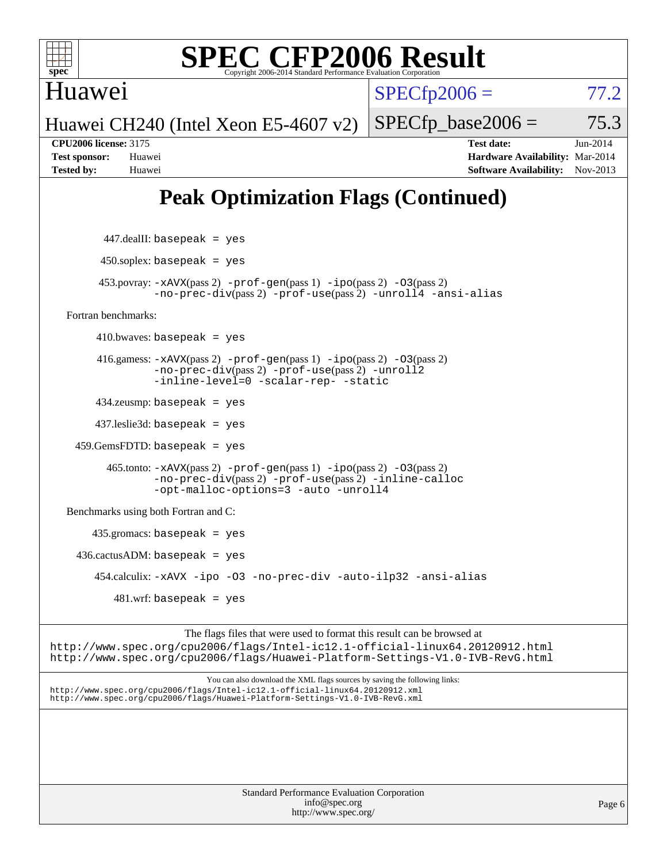Huawei

 $SPECTp2006 = 77.2$ 

Huawei CH240 (Intel Xeon E5-4607 v2)

**[CPU2006 license:](http://www.spec.org/auto/cpu2006/Docs/result-fields.html#CPU2006license)** 3175 **[Test date:](http://www.spec.org/auto/cpu2006/Docs/result-fields.html#Testdate)** Jun-2014 **[Test sponsor:](http://www.spec.org/auto/cpu2006/Docs/result-fields.html#Testsponsor)** Huawei **[Hardware Availability:](http://www.spec.org/auto/cpu2006/Docs/result-fields.html#HardwareAvailability)** Mar-2014 **[Tested by:](http://www.spec.org/auto/cpu2006/Docs/result-fields.html#Testedby)** Huawei **[Software Availability:](http://www.spec.org/auto/cpu2006/Docs/result-fields.html#SoftwareAvailability)** Nov-2013

 $SPECTp\_base2006 = 75.3$ 

## **[Peak Optimization Flags \(Continued\)](http://www.spec.org/auto/cpu2006/Docs/result-fields.html#PeakOptimizationFlags)**

 447.dealII: basepeak = yes  $450$ .soplex: basepeak = yes 453.povray: [-xAVX](http://www.spec.org/cpu2006/results/res2014q3/cpu2006-20140701-30275.flags.html#user_peakPASS2_CXXFLAGSPASS2_LDFLAGS453_povray_f-xAVX)(pass 2) [-prof-gen](http://www.spec.org/cpu2006/results/res2014q3/cpu2006-20140701-30275.flags.html#user_peakPASS1_CXXFLAGSPASS1_LDFLAGS453_povray_prof_gen_e43856698f6ca7b7e442dfd80e94a8fc)(pass 1) [-ipo](http://www.spec.org/cpu2006/results/res2014q3/cpu2006-20140701-30275.flags.html#user_peakPASS2_CXXFLAGSPASS2_LDFLAGS453_povray_f-ipo)(pass 2) [-O3](http://www.spec.org/cpu2006/results/res2014q3/cpu2006-20140701-30275.flags.html#user_peakPASS2_CXXFLAGSPASS2_LDFLAGS453_povray_f-O3)(pass 2) [-no-prec-div](http://www.spec.org/cpu2006/results/res2014q3/cpu2006-20140701-30275.flags.html#user_peakPASS2_CXXFLAGSPASS2_LDFLAGS453_povray_f-no-prec-div)(pass 2) [-prof-use](http://www.spec.org/cpu2006/results/res2014q3/cpu2006-20140701-30275.flags.html#user_peakPASS2_CXXFLAGSPASS2_LDFLAGS453_povray_prof_use_bccf7792157ff70d64e32fe3e1250b55)(pass 2) [-unroll4](http://www.spec.org/cpu2006/results/res2014q3/cpu2006-20140701-30275.flags.html#user_peakCXXOPTIMIZE453_povray_f-unroll_4e5e4ed65b7fd20bdcd365bec371b81f) [-ansi-alias](http://www.spec.org/cpu2006/results/res2014q3/cpu2006-20140701-30275.flags.html#user_peakCXXOPTIMIZE453_povray_f-ansi-alias) [Fortran benchmarks](http://www.spec.org/auto/cpu2006/Docs/result-fields.html#Fortranbenchmarks):  $410.bwaves: basepeak = yes$  416.gamess: [-xAVX](http://www.spec.org/cpu2006/results/res2014q3/cpu2006-20140701-30275.flags.html#user_peakPASS2_FFLAGSPASS2_LDFLAGS416_gamess_f-xAVX)(pass 2) [-prof-gen](http://www.spec.org/cpu2006/results/res2014q3/cpu2006-20140701-30275.flags.html#user_peakPASS1_FFLAGSPASS1_LDFLAGS416_gamess_prof_gen_e43856698f6ca7b7e442dfd80e94a8fc)(pass 1) [-ipo](http://www.spec.org/cpu2006/results/res2014q3/cpu2006-20140701-30275.flags.html#user_peakPASS2_FFLAGSPASS2_LDFLAGS416_gamess_f-ipo)(pass 2) [-O3](http://www.spec.org/cpu2006/results/res2014q3/cpu2006-20140701-30275.flags.html#user_peakPASS2_FFLAGSPASS2_LDFLAGS416_gamess_f-O3)(pass 2) [-no-prec-div](http://www.spec.org/cpu2006/results/res2014q3/cpu2006-20140701-30275.flags.html#user_peakPASS2_FFLAGSPASS2_LDFLAGS416_gamess_f-no-prec-div)(pass 2) [-prof-use](http://www.spec.org/cpu2006/results/res2014q3/cpu2006-20140701-30275.flags.html#user_peakPASS2_FFLAGSPASS2_LDFLAGS416_gamess_prof_use_bccf7792157ff70d64e32fe3e1250b55)(pass 2) [-unroll2](http://www.spec.org/cpu2006/results/res2014q3/cpu2006-20140701-30275.flags.html#user_peakOPTIMIZE416_gamess_f-unroll_784dae83bebfb236979b41d2422d7ec2) [-inline-level=0](http://www.spec.org/cpu2006/results/res2014q3/cpu2006-20140701-30275.flags.html#user_peakOPTIMIZE416_gamess_f-inline-level_318d07a09274ad25e8d15dbfaa68ba50) [-scalar-rep-](http://www.spec.org/cpu2006/results/res2014q3/cpu2006-20140701-30275.flags.html#user_peakOPTIMIZE416_gamess_f-disablescalarrep_abbcad04450fb118e4809c81d83c8a1d) [-static](http://www.spec.org/cpu2006/results/res2014q3/cpu2006-20140701-30275.flags.html#user_peakOPTIMIZE416_gamess_f-static) 434.zeusmp: basepeak = yes 437.leslie3d: basepeak = yes  $459.GemsFDTD: basepeak = yes$  465.tonto: [-xAVX](http://www.spec.org/cpu2006/results/res2014q3/cpu2006-20140701-30275.flags.html#user_peakPASS2_FFLAGSPASS2_LDFLAGS465_tonto_f-xAVX)(pass 2) [-prof-gen](http://www.spec.org/cpu2006/results/res2014q3/cpu2006-20140701-30275.flags.html#user_peakPASS1_FFLAGSPASS1_LDFLAGS465_tonto_prof_gen_e43856698f6ca7b7e442dfd80e94a8fc)(pass 1) [-ipo](http://www.spec.org/cpu2006/results/res2014q3/cpu2006-20140701-30275.flags.html#user_peakPASS2_FFLAGSPASS2_LDFLAGS465_tonto_f-ipo)(pass 2) [-O3](http://www.spec.org/cpu2006/results/res2014q3/cpu2006-20140701-30275.flags.html#user_peakPASS2_FFLAGSPASS2_LDFLAGS465_tonto_f-O3)(pass 2) [-no-prec-div](http://www.spec.org/cpu2006/results/res2014q3/cpu2006-20140701-30275.flags.html#user_peakPASS2_FFLAGSPASS2_LDFLAGS465_tonto_f-no-prec-div)(pass 2) [-prof-use](http://www.spec.org/cpu2006/results/res2014q3/cpu2006-20140701-30275.flags.html#user_peakPASS2_FFLAGSPASS2_LDFLAGS465_tonto_prof_use_bccf7792157ff70d64e32fe3e1250b55)(pass 2) [-inline-calloc](http://www.spec.org/cpu2006/results/res2014q3/cpu2006-20140701-30275.flags.html#user_peakOPTIMIZE465_tonto_f-inline-calloc) [-opt-malloc-options=3](http://www.spec.org/cpu2006/results/res2014q3/cpu2006-20140701-30275.flags.html#user_peakOPTIMIZE465_tonto_f-opt-malloc-options_13ab9b803cf986b4ee62f0a5998c2238) [-auto](http://www.spec.org/cpu2006/results/res2014q3/cpu2006-20140701-30275.flags.html#user_peakOPTIMIZE465_tonto_f-auto) [-unroll4](http://www.spec.org/cpu2006/results/res2014q3/cpu2006-20140701-30275.flags.html#user_peakOPTIMIZE465_tonto_f-unroll_4e5e4ed65b7fd20bdcd365bec371b81f) [Benchmarks using both Fortran and C](http://www.spec.org/auto/cpu2006/Docs/result-fields.html#BenchmarksusingbothFortranandC): 435.gromacs: basepeak = yes  $436.cactusADM:basepeak = yes$  454.calculix: [-xAVX](http://www.spec.org/cpu2006/results/res2014q3/cpu2006-20140701-30275.flags.html#user_peakOPTIMIZE454_calculix_f-xAVX) [-ipo](http://www.spec.org/cpu2006/results/res2014q3/cpu2006-20140701-30275.flags.html#user_peakOPTIMIZE454_calculix_f-ipo) [-O3](http://www.spec.org/cpu2006/results/res2014q3/cpu2006-20140701-30275.flags.html#user_peakOPTIMIZE454_calculix_f-O3) [-no-prec-div](http://www.spec.org/cpu2006/results/res2014q3/cpu2006-20140701-30275.flags.html#user_peakOPTIMIZE454_calculix_f-no-prec-div) [-auto-ilp32](http://www.spec.org/cpu2006/results/res2014q3/cpu2006-20140701-30275.flags.html#user_peakCOPTIMIZE454_calculix_f-auto-ilp32) [-ansi-alias](http://www.spec.org/cpu2006/results/res2014q3/cpu2006-20140701-30275.flags.html#user_peakCOPTIMIZE454_calculix_f-ansi-alias) 481.wrf: basepeak = yes The flags files that were used to format this result can be browsed at

<http://www.spec.org/cpu2006/flags/Intel-ic12.1-official-linux64.20120912.html> <http://www.spec.org/cpu2006/flags/Huawei-Platform-Settings-V1.0-IVB-RevG.html>

You can also download the XML flags sources by saving the following links: <http://www.spec.org/cpu2006/flags/Intel-ic12.1-official-linux64.20120912.xml> <http://www.spec.org/cpu2006/flags/Huawei-Platform-Settings-V1.0-IVB-RevG.xml>